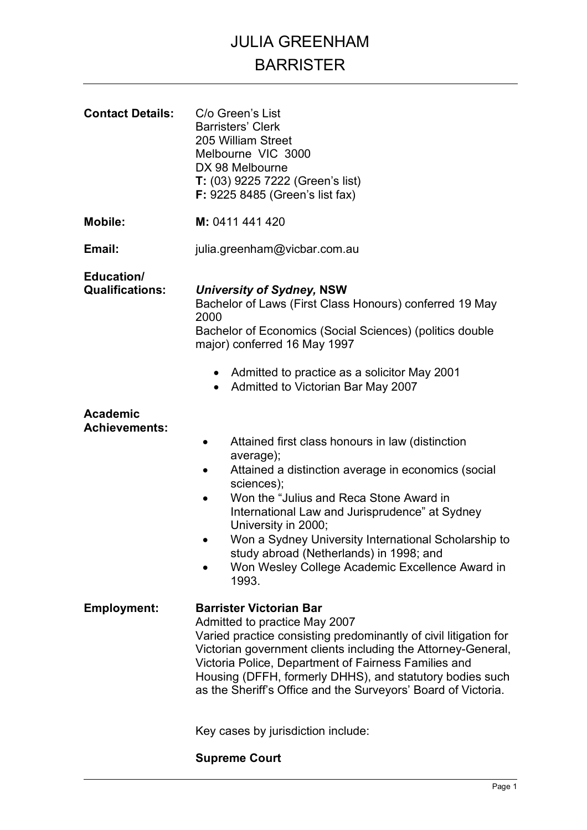## JULIA GREENHAM BARRISTER

| <b>Contact Details:</b>                 | C/o Green's List<br><b>Barristers' Clerk</b><br>205 William Street<br>Melbourne VIC 3000<br>DX 98 Melbourne<br>T: (03) 9225 7222 (Green's list)<br>F: 9225 8485 (Green's list fax)                                                                                                                                                                                                                                                              |
|-----------------------------------------|-------------------------------------------------------------------------------------------------------------------------------------------------------------------------------------------------------------------------------------------------------------------------------------------------------------------------------------------------------------------------------------------------------------------------------------------------|
| <b>Mobile:</b>                          | M: 0411 441 420                                                                                                                                                                                                                                                                                                                                                                                                                                 |
| Email:                                  | julia.greenham@vicbar.com.au                                                                                                                                                                                                                                                                                                                                                                                                                    |
| Education/<br><b>Qualifications:</b>    | <b>University of Sydney, NSW</b><br>Bachelor of Laws (First Class Honours) conferred 19 May<br>2000<br>Bachelor of Economics (Social Sciences) (politics double<br>major) conferred 16 May 1997                                                                                                                                                                                                                                                 |
|                                         | • Admitted to practice as a solicitor May 2001<br>Admitted to Victorian Bar May 2007<br>$\bullet$                                                                                                                                                                                                                                                                                                                                               |
| <b>Academic</b><br><b>Achievements:</b> | Attained first class honours in law (distinction<br>$\bullet$<br>average);<br>Attained a distinction average in economics (social<br>$\bullet$<br>sciences);<br>Won the "Julius and Reca Stone Award in<br>International Law and Jurisprudence" at Sydney<br>University in 2000;<br>Won a Sydney University International Scholarship to<br>study abroad (Netherlands) in 1998; and<br>Won Wesley College Academic Excellence Award in<br>1993. |
| <b>Employment:</b>                      | <b>Barrister Victorian Bar</b><br>Admitted to practice May 2007<br>Varied practice consisting predominantly of civil litigation for<br>Victorian government clients including the Attorney-General,<br>Victoria Police, Department of Fairness Families and<br>Housing (DFFH, formerly DHHS), and statutory bodies such<br>as the Sheriff's Office and the Surveyors' Board of Victoria.                                                        |
|                                         | Key cases by jurisdiction include:                                                                                                                                                                                                                                                                                                                                                                                                              |

### **Supreme Court**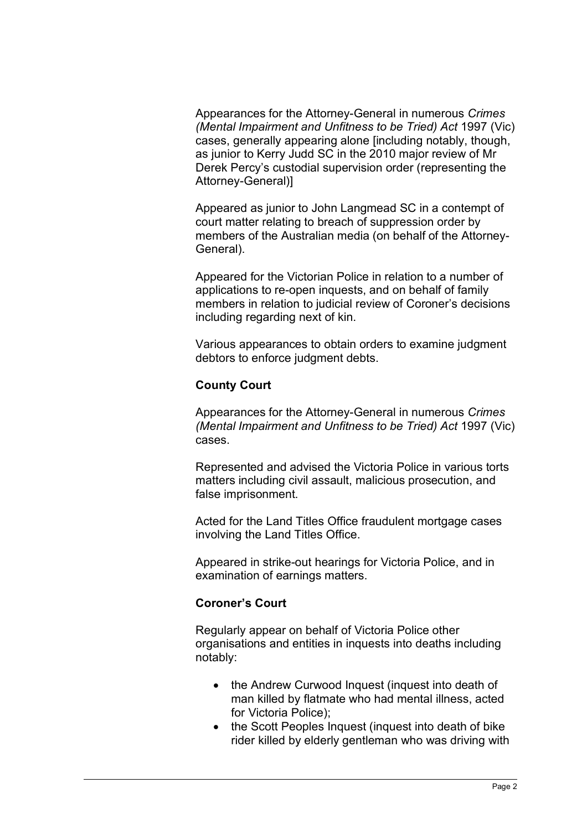Appearances for the Attorney-General in numerous *Crimes (Mental Impairment and Unfitness to be Tried) Act* 1997 (Vic) cases, generally appearing alone [including notably, though, as junior to Kerry Judd SC in the 2010 major review of Mr Derek Percy's custodial supervision order (representing the Attorney-General)]

Appeared as junior to John Langmead SC in a contempt of court matter relating to breach of suppression order by members of the Australian media (on behalf of the Attorney-General).

Appeared for the Victorian Police in relation to a number of applications to re-open inquests, and on behalf of family members in relation to judicial review of Coroner's decisions including regarding next of kin.

Various appearances to obtain orders to examine judgment debtors to enforce judgment debts.

#### **County Court**

Appearances for the Attorney-General in numerous *Crimes (Mental Impairment and Unfitness to be Tried) Act* 1997 (Vic) cases.

Represented and advised the Victoria Police in various torts matters including civil assault, malicious prosecution, and false imprisonment.

Acted for the Land Titles Office fraudulent mortgage cases involving the Land Titles Office.

Appeared in strike-out hearings for Victoria Police, and in examination of earnings matters.

#### **Coroner's Court**

Regularly appear on behalf of Victoria Police other organisations and entities in inquests into deaths including notably:

- the Andrew Curwood Inquest (inquest into death of man killed by flatmate who had mental illness, acted for Victoria Police);
- the Scott Peoples Inquest (inquest into death of bike rider killed by elderly gentleman who was driving with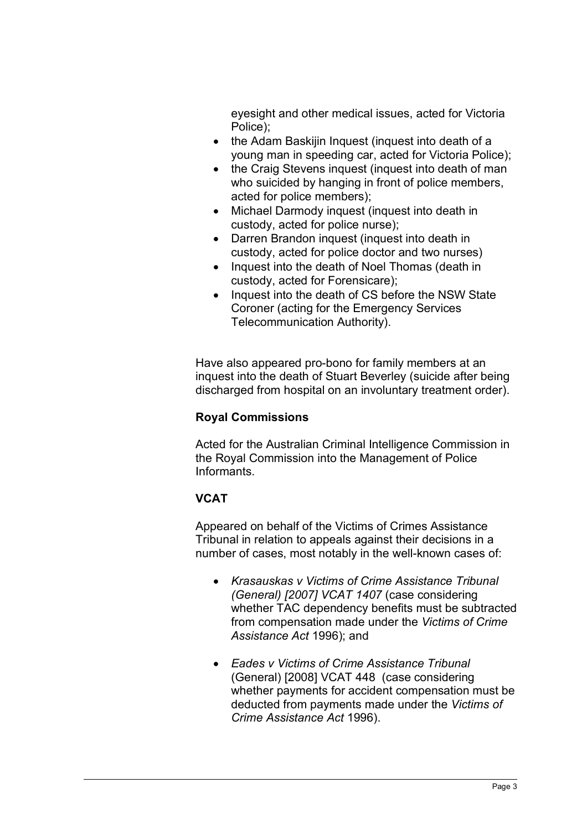eyesight and other medical issues, acted for Victoria Police);

- the Adam Baskijin Inquest (inquest into death of a young man in speeding car, acted for Victoria Police);
- the Craig Stevens inquest (inquest into death of man who suicided by hanging in front of police members, acted for police members);
- Michael Darmody inquest (inquest into death in custody, acted for police nurse);
- Darren Brandon inquest (inquest into death in custody, acted for police doctor and two nurses)
- Inquest into the death of Noel Thomas (death in custody, acted for Forensicare);
- Inquest into the death of CS before the NSW State Coroner (acting for the Emergency Services Telecommunication Authority).

Have also appeared pro-bono for family members at an inquest into the death of Stuart Beverley (suicide after being discharged from hospital on an involuntary treatment order).

#### **Royal Commissions**

Acted for the Australian Criminal Intelligence Commission in the Royal Commission into the Management of Police Informants.

#### **VCAT**

Appeared on behalf of the Victims of Crimes Assistance Tribunal in relation to appeals against their decisions in a number of cases, most notably in the well-known cases of:

- *Krasauskas v Victims of Crime Assistance Tribunal (General) [2007] VCAT 1407* (case considering whether TAC dependency benefits must be subtracted from compensation made under the *Victims of Crime Assistance Act* 1996); and
- *Eades v Victims of Crime Assistance Tribunal* (General) [2008] VCAT 448 (case considering whether payments for accident compensation must be deducted from payments made under the *Victims of Crime Assistance Act* 1996).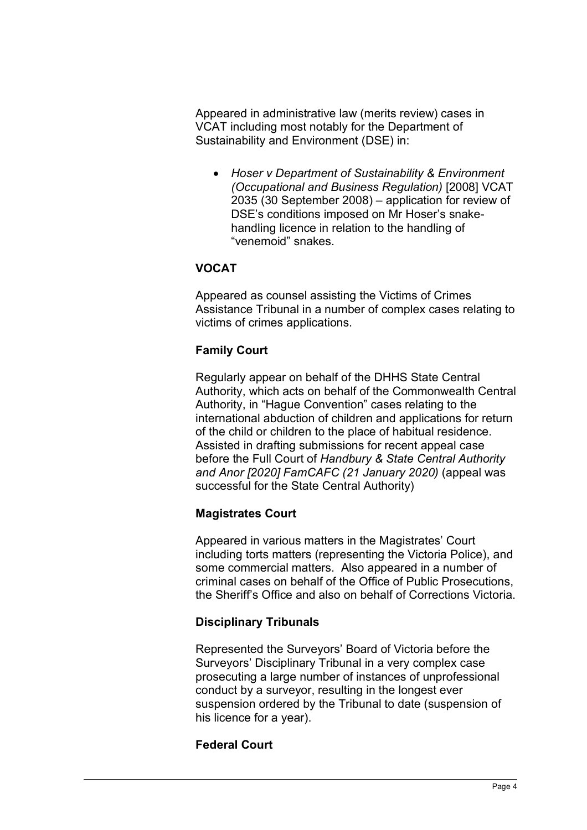Appeared in administrative law (merits review) cases in VCAT including most notably for the Department of Sustainability and Environment (DSE) in:

• *Hoser v Department of Sustainability & Environment (Occupational and Business Regulation)* [2008] VCAT 2035 (30 September 2008) – application for review of DSE's conditions imposed on Mr Hoser's snakehandling licence in relation to the handling of "venemoid" snakes.

#### **VOCAT**

Appeared as counsel assisting the Victims of Crimes Assistance Tribunal in a number of complex cases relating to victims of crimes applications.

#### **Family Court**

Regularly appear on behalf of the DHHS State Central Authority, which acts on behalf of the Commonwealth Central Authority, in "Hague Convention" cases relating to the international abduction of children and applications for return of the child or children to the place of habitual residence. Assisted in drafting submissions for recent appeal case before the Full Court of *Handbury & State Central Authority and Anor [2020] FamCAFC (21 January 2020)* (appeal was successful for the State Central Authority)

#### **Magistrates Court**

Appeared in various matters in the Magistrates' Court including torts matters (representing the Victoria Police), and some commercial matters. Also appeared in a number of criminal cases on behalf of the Office of Public Prosecutions, the Sheriff's Office and also on behalf of Corrections Victoria.

#### **Disciplinary Tribunals**

Represented the Surveyors' Board of Victoria before the Surveyors' Disciplinary Tribunal in a very complex case prosecuting a large number of instances of unprofessional conduct by a surveyor, resulting in the longest ever suspension ordered by the Tribunal to date (suspension of his licence for a year).

#### **Federal Court**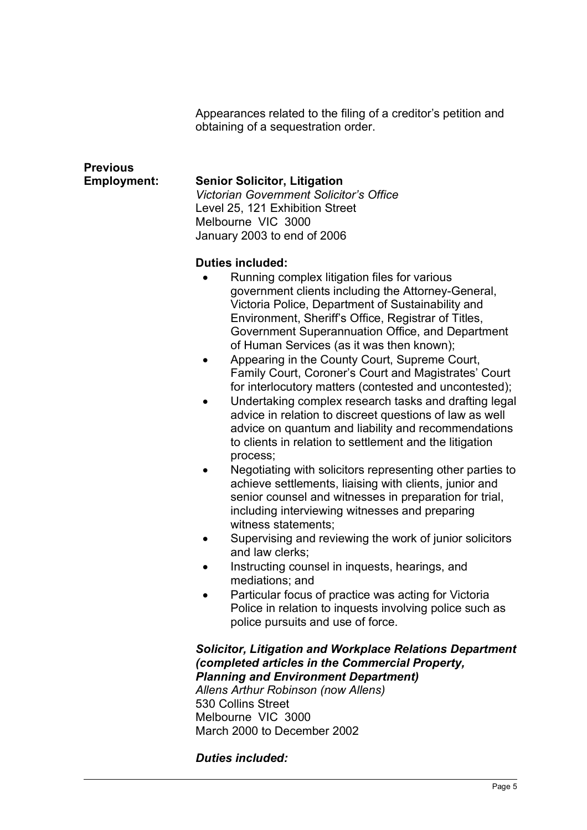Appearances related to the filing of a creditor's petition and obtaining of a sequestration order.

# **Previous**

#### **Employment: Senior Solicitor, Litigation**

*Victorian Government Solicitor's Office* Level 25, 121 Exhibition Street Melbourne VIC 3000 January 2003 to end of 2006

#### **Duties included:**

- Running complex litigation files for various government clients including the Attorney-General, Victoria Police, Department of Sustainability and Environment, Sheriff's Office, Registrar of Titles, Government Superannuation Office, and Department of Human Services (as it was then known);
- Appearing in the County Court, Supreme Court, Family Court, Coroner's Court and Magistrates' Court for interlocutory matters (contested and uncontested);
- Undertaking complex research tasks and drafting legal advice in relation to discreet questions of law as well advice on quantum and liability and recommendations to clients in relation to settlement and the litigation process;
- Negotiating with solicitors representing other parties to achieve settlements, liaising with clients, junior and senior counsel and witnesses in preparation for trial, including interviewing witnesses and preparing witness statements;
- Supervising and reviewing the work of junior solicitors and law clerks;
- Instructing counsel in inquests, hearings, and mediations; and
- Particular focus of practice was acting for Victoria Police in relation to inquests involving police such as police pursuits and use of force.

*Solicitor, Litigation and Workplace Relations Department (completed articles in the Commercial Property, Planning and Environment Department) Allens Arthur Robinson (now Allens)* 530 Collins Street Melbourne VIC 3000 March 2000 to December 2002

*Duties included:*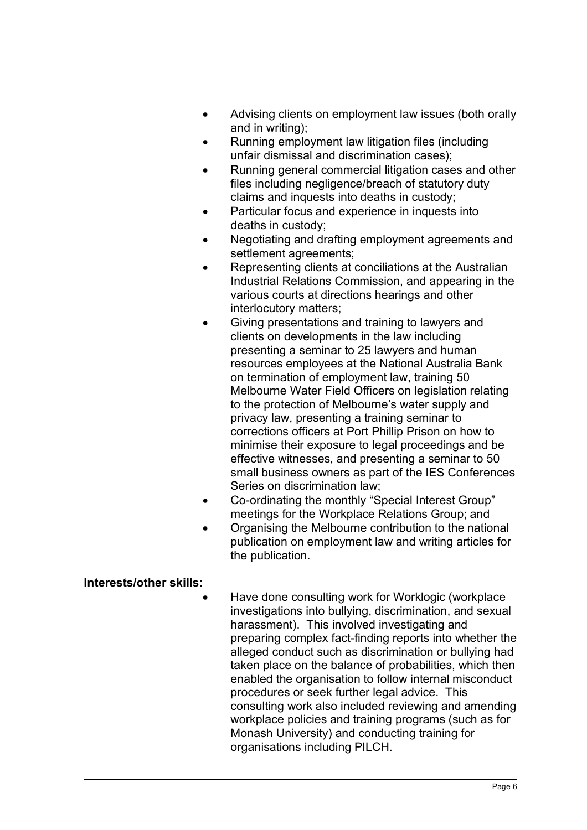- Advising clients on employment law issues (both orally and in writing);
- Running employment law litigation files (including unfair dismissal and discrimination cases);
- Running general commercial litigation cases and other files including negligence/breach of statutory duty claims and inquests into deaths in custody;
- Particular focus and experience in inquests into deaths in custody;
- Negotiating and drafting employment agreements and settlement agreements;
- Representing clients at conciliations at the Australian Industrial Relations Commission, and appearing in the various courts at directions hearings and other interlocutory matters;
- Giving presentations and training to lawyers and clients on developments in the law including presenting a seminar to 25 lawyers and human resources employees at the National Australia Bank on termination of employment law, training 50 Melbourne Water Field Officers on legislation relating to the protection of Melbourne's water supply and privacy law, presenting a training seminar to corrections officers at Port Phillip Prison on how to minimise their exposure to legal proceedings and be effective witnesses, and presenting a seminar to 50 small business owners as part of the IES Conferences Series on discrimination law;
- Co-ordinating the monthly "Special Interest Group" meetings for the Workplace Relations Group; and
- Organising the Melbourne contribution to the national publication on employment law and writing articles for the publication.

#### **Interests/other skills:**

• Have done consulting work for Worklogic (workplace investigations into bullying, discrimination, and sexual harassment). This involved investigating and preparing complex fact-finding reports into whether the alleged conduct such as discrimination or bullying had taken place on the balance of probabilities, which then enabled the organisation to follow internal misconduct procedures or seek further legal advice. This consulting work also included reviewing and amending workplace policies and training programs (such as for Monash University) and conducting training for organisations including PILCH.